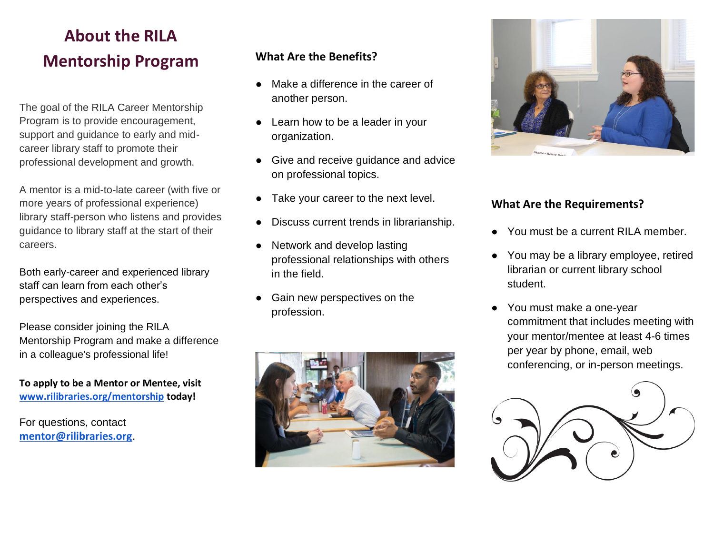# **About the RILA Mentorship Program**

The goal of the RILA Career Mentorship Program is to provide encouragement, support and guidance to early and midcareer library staff to promote their professional development and growth.

A mentor is a mid-to-late career (with five or more years of professional experience) library staff-person who listens and provides guidance to library staff at the start of their careers.

Both early-career and experienced library staff can learn from each other's perspectives and experiences.

Please consider joining the RILA Mentorship Program and make a difference in a colleague's professional life!

**To apply to be a Mentor or Mentee, visit [www.rilibraries.org/mentorship](http://www.rilibraries.org/mentorship) today!**

For questions, contact **[mentor@rilibraries.org](mailto:mentor@rilibraries.org)**.

### **What Are the Benefits?**

- Make a difference in the career of another person.
- Learn how to be a leader in your organization.
- Give and receive guidance and advice on professional topics.
- Take your career to the next level.
- Discuss current trends in librarianship.
- Network and develop lasting professional relationships with others in the field.
- Gain new perspectives on the profession.





#### **What Are the Requirements?**

- You must be a current RILA member.
- You may be a library employee, retired librarian or current library school student.
- You must make a one-year commitment that includes meeting with your mentor/mentee at least 4-6 times per year by phone, email, web conferencing, or in-person meetings.